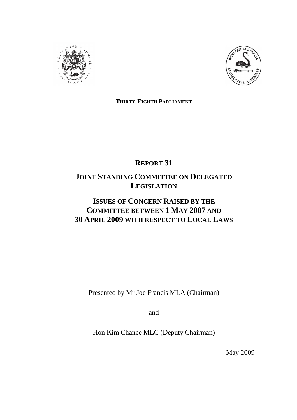



**THIRTY-EIGHTH PARLIAMENT**

# **REPORT 31**

## **JOINT STANDING COMMITTEE ON DELEGATED LEGISLATION**

## **ISSUES OF CONCERN RAISED BY THE COMMITTEE BETWEEN 1 MAY 2007 AND 30 APRIL 2009 WITH RESPECT TO LOCAL LAWS**

Presented by Mr Joe Francis MLA (Chairman)

and

Hon Kim Chance MLC (Deputy Chairman)

May 2009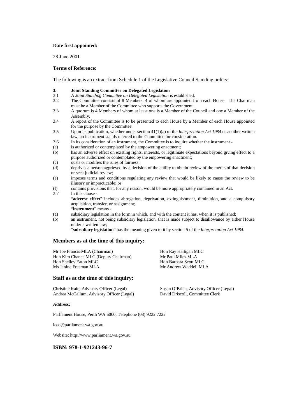#### **Date first appointed:**

28 June 2001

#### **Terms of Reference:**

The following is an extract from Schedule 1 of the Legislative Council Standing orders:

- **3. 3. Joint Standing Committee on Delegated Legislation**<br>3.1 A Joint Standing Committee on Delegated Legislation
- 3.1 A *Joint Standing Committee on Delegated Legislation* is established.
- 3.2 The Committee consists of 8 Members, 4 of whom are appointed from each House. The Chairman must be a Member of the Committee who supports the Government.
- 3.3 A quorum is 4 Members of whom at least one is a Member of the Council and one a Member of the Assembly.
- 3.4 A report of the Committee is to be presented to each House by a Member of each House appointed for the purpose by the Committee.
- 3.5 Upon its publication, whether under section 41(1)(a) of the *Interpretation Act 1984* or another written law, an instrument stands referred to the Committee for consideration.
- 3.6 In its consideration of an instrument, the Committee is to inquire whether the instrument -
- (a) is authorized or contemplated by the empowering enactment;
- (b) has an adverse effect on existing rights, interests, or legitimate expectations beyond giving effect to a purpose authorized or contemplated by the empowering enactment;
- (c) ousts or modifies the rules of fairness;
- (d) deprives a person aggrieved by a decision of the ability to obtain review of the merits of that decision or seek judicial review;
- (e) imposes terms and conditions regulating any review that would be likely to cause the review to be illusory or impracticable; or
- (f) contains provisions that, for any reason, would be more appropriately contained in an Act.
- 3.7 In this clause "**adverse effect**" includes abrogation, deprivation, extinguishment, diminution, and a compulsory acquisition, transfer, or assignment; "**instrument**" means -
- (a) subsidiary legislation in the form in which, and with the content it has, when it is published;
- (b) an instrument, not being subsidiary legislation, that is made subject to disallowance by either House under a written law;

"**subsidiary legislation**" has the meaning given to it by section 5 of the *Interpretation Act 1984*.

#### **Members as at the time of this inquiry:**

Mr Joe Francis MLA (Chairman) Hon Ray Halligan MLC<br>
Hon Kim Chance MLC (Deputy Chairman) Mr Paul Miles MLA Hon Kim Chance MLC (Deputy Chairman) Hon Shelley Eaton MLC Hon Barbara Scott MLC Ms Janine Freeman MLA Mr Andrew Waddell MLA

## **Staff as at the time of this inquiry:**

Andrea McCallum, Advisory Officer (Legal) David Driscoll, Committee Clerk

Christine Kain, Advisory Officer (Legal) Susan O'Brien, Advisory Officer (Legal)

#### **Address:**

Parliament House, Perth WA 6000, Telephone (08) 9222 7222

lcco@parliament.wa.gov.au

Website: http://www.parliament.wa.gov.au

#### **ISBN: 978-1-921243-96-7**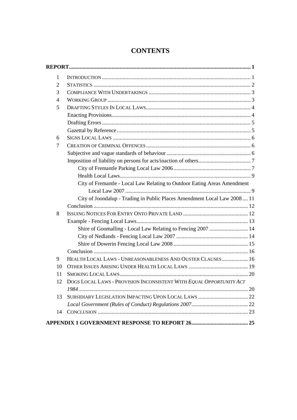| 1              |                                                                           |  |
|----------------|---------------------------------------------------------------------------|--|
| 2              |                                                                           |  |
| 3              |                                                                           |  |
| $\overline{4}$ |                                                                           |  |
| 5              |                                                                           |  |
|                |                                                                           |  |
|                |                                                                           |  |
|                |                                                                           |  |
| 6              |                                                                           |  |
| 7              |                                                                           |  |
|                |                                                                           |  |
|                |                                                                           |  |
|                |                                                                           |  |
|                |                                                                           |  |
|                | City of Fremantle - Local Law Relating to Outdoor Eating Areas Amendment  |  |
|                |                                                                           |  |
|                | City of Joondalup - Trading in Public Places Amendment Local Law 2008  11 |  |
|                |                                                                           |  |
| 8              |                                                                           |  |
|                |                                                                           |  |
|                | Shire of Goomalling - Local Law Relating to Fencing 2007  14              |  |
|                |                                                                           |  |
|                |                                                                           |  |
|                |                                                                           |  |
| 9              | HEALTH LOCAL LAWS - UNREASONABLENESS AND OUSTER CLAUSES 16                |  |
| 10             |                                                                           |  |
| 11             |                                                                           |  |
| 12             | DOGS LOCAL LAWS - PROVISION INCONSISTENT WITH EQUAL OPPORTUNITY ACT       |  |
|                |                                                                           |  |
| 13             |                                                                           |  |
|                |                                                                           |  |
| 14             |                                                                           |  |
|                |                                                                           |  |

## **CONTENTS**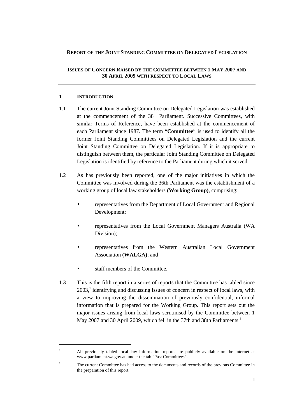#### **REPORT OF THE JOINT STANDING COMMITTEE ON DELEGATED LEGISLATION**

#### **ISSUES OF CONCERN RAISED BY THE COMMITTEE BETWEEN 1 MAY 2007 AND 30 APRIL 2009 WITH RESPECT TO LOCAL LAWS**

#### **1 INTRODUCTION**

- 1.1 The current Joint Standing Committee on Delegated Legislation was established at the commencement of the 38<sup>th</sup> Parliament. Successive Committees, with similar Terms of Reference, have been established at the commencement of each Parliament since 1987. The term "**Committee**" is used to identify all the former Joint Standing Committees on Delegated Legislation and the current Joint Standing Committee on Delegated Legislation. If it is appropriate to distinguish between them, the particular Joint Standing Committee on Delegated Legislation is identified by reference to the Parliament during which it served.
- 1.2 As has previously been reported, one of the major initiatives in which the Committee was involved during the 36th Parliament was the establishment of a working group of local law stakeholders **(Working Group)**, comprising:
	- representatives from the Department of Local Government and Regional Development;
	- representatives from the Local Government Managers Australia (WA Division);
	- representatives from the Western Australian Local Government Association **(WALGA)**; and
	- staff members of the Committee.
- 1.3 This is the fifth report in a series of reports that the Committee has tabled since  $2003$ ,<sup>1</sup> identifying and discussing issues of concern in respect of local laws, with a view to improving the dissemination of previously confidential, informal information that is prepared for the Working Group. This report sets out the major issues arising from local laws scrutinised by the Committee between 1 May 2007 and 30 April 2009, which fell in the 37th and 38th Parliaments.<sup>2</sup>

All previously tabled local law information reports are publicly available on the internet at www.parliament.wa.gov.au under the tab "Past Committees".

<sup>2</sup> The current Committee has had access to the documents and records of the previous Committee in the preparation of this report.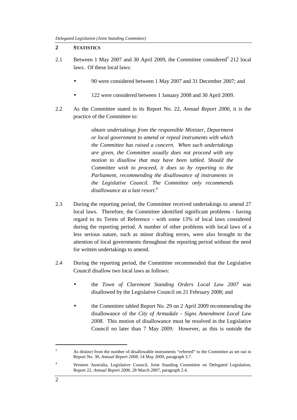#### **2 STATISTICS**

- 2.1 Between 1 May 2007 and 30 April 2009, the Committee considered<sup>3</sup> 212 local laws. Of these local laws:
	- 90 were considered between 1 May 2007 and 31 December 2007; and
	- 122 were considered between 1 January 2008 and 30 April 2009.
- 2.2 As the Committee stated in its Report No. 22, *Annual Report 2006*, it is the practice of the Committee to:

*obtain undertakings from the responsible Minister, Department or local government to amend or repeal instruments with which the Committee has raised a concern. When such undertakings are given, the Committee usually does not proceed with any motion to disallow that may have been tabled. Should the Committee wish to proceed, it does so by reporting to the Parliament, recommending the disallowance of instruments in the Legislative Council. The Committee only recommends disallowance as a last resort.*<sup>4</sup>

- 2.3 During the reporting period, the Committee received undertakings to amend 27 local laws. Therefore, the Committee identified significant problems - having regard to its Terms of Reference - with some 13% of local laws considered during the reporting period. A number of other problems with local laws of a less serious nature, such as minor drafting errors, were also brought to the attention of local governments throughout the reporting period without the need for written undertakings to amend.
- 2.4 During the reporting period, the Committee recommended that the Legislative Council disallow two local laws as follows:
	- the *Town of Claremont Standing Orders Local Law 2007* was disallowed by the Legislative Council on 21 February 2008; and
	- the Committee tabled Report No. 29 on 2 April 2009 recommending the disallowance of the *City of Armadale - Signs Amendment Local Law 2008.* This motion of disallowance must be resolved in the Legislative Council no later than 7 May 2009*.* However, as this is outside the

<sup>3</sup> As distinct from the number of disallowable instruments "referred" to the Committee as set out in Report No. 30, *Annual Report 2008*, 14 May 2009, paragraph 3.7.

<sup>4</sup> Western Australia, Legislative Council, Joint Standing Committee on Delegated Legislation, Report 22, *Annual Report 2006,* 28 March 2007, paragraph 2.4.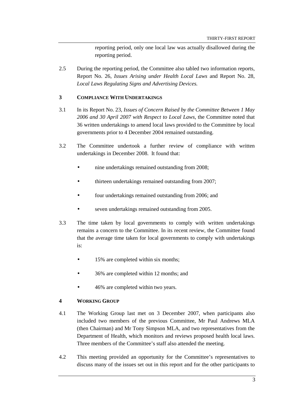reporting period, only one local law was actually disallowed during the reporting period.

2.5 During the reporting period, the Committee also tabled two information reports, Report No. 26, *Issues Arising under Health Local Laws* and Report No. 28, *Local Laws Regulating Signs and Advertising Devices.*

#### **3 COMPLIANCE WITH UNDERTAKINGS**

- 3.1 In its Report No. 23, *Issues of Concern Raised by the Committee Between 1 May 2006 and 30 April 2007 with Respect to Local Laws*, the Committee noted that 36 written undertakings to amend local laws provided to the Committee by local governments prior to 4 December 2004 remained outstanding.
- 3.2 The Committee undertook a further review of compliance with written undertakings in December 2008. It found that:
	- nine undertakings remained outstanding from 2008;
	- thirteen undertakings remained outstanding from 2007;
	- four undertakings remained outstanding from 2006; and
	- seven undertakings remained outstanding from 2005.
- 3.3 The time taken by local governments to comply with written undertakings remains a concern to the Committee. In its recent review, the Committee found that the average time taken for local governments to comply with undertakings  $i_{S}$ :
	- 15% are completed within six months;
	- 36% are completed within 12 months; and
	- 46% are completed within two years.

#### **4 WORKING GROUP**

- 4.1 The Working Group last met on 3 December 2007, when participants also included two members of the previous Committee, Mr Paul Andrews MLA (then Chairman) and Mr Tony Simpson MLA, and two representatives from the Department of Health, which monitors and reviews proposed health local laws. Three members of the Committee's staff also attended the meeting.
- 4.2 This meeting provided an opportunity for the Committee's representatives to discuss many of the issues set out in this report and for the other participants to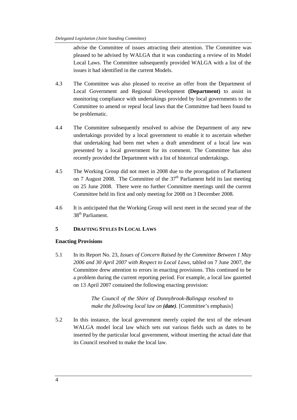advise the Committee of issues attracting their attention. The Committee was pleased to be advised by WALGA that it was conducting a review of its Model Local Laws. The Committee subsequently provided WALGA with a list of the issues it had identified in the current Models.

- 4.3 The Committee was also pleased to receive an offer from the Department of Local Government and Regional Development **(Department)** to assist in monitoring compliance with undertakings provided by local governments to the Committee to amend or repeal local laws that the Committee had been found to be problematic.
- 4.4 The Committee subsequently resolved to advise the Department of any new undertakings provided by a local government to enable it to ascertain whether that undertaking had been met when a draft amendment of a local law was presented by a local government for its comment. The Committee has also recently provided the Department with a list of historical undertakings.
- 4.5 The Working Group did not meet in 2008 due to the prorogation of Parliament on 7 August 2008. The Committee of the  $37<sup>th</sup>$  Parliament held its last meeting on 25 June 2008. There were no further Committee meetings until the current Committee held its first and only meeting for 2008 on 3 December 2008.
- 4.6 It is anticipated that the Working Group will next meet in the second year of the 38th Parliament.

#### **5 DRAFTING STYLES IN LOCAL LAWS**

#### **Enacting Provisions**

5.1 In its Report No. 23, *Issues of Concern Raised by the Committee Between 1 May 2006 and 30 April 2007 with Respect to Local Laws*, tabled on 7 June 2007, the Committee drew attention to errors in enacting provisions. This continued to be a problem during the current reporting period. For example, a local law gazetted on 13 April 2007 contained the following enacting provision:

> *The Council of the Shire of Donnybrook-Balingup resolved to make the following local law on (date).* [Committee's emphasis]

5.2 In this instance, the local government merely copied the text of the relevant WALGA model local law which sets out various fields such as dates to be inserted by the particular local government, without inserting the actual date that its Council resolved to make the local law.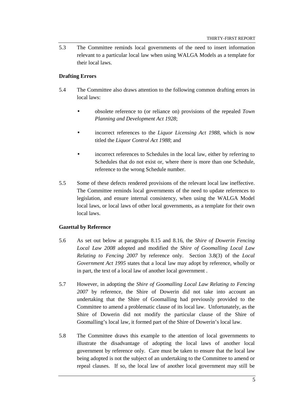5.3 The Committee reminds local governments of the need to insert information relevant to a particular local law when using WALGA Models as a template for their local laws.

#### **Drafting Errors**

- 5.4 The Committee also draws attention to the following common drafting errors in local laws:
	- obsolete reference to (or reliance on) provisions of the repealed *Town Planning and Development Act 1928*;
	- incorrect references to the *Liquor Licensing Act 1988*, which is now titled the *Liquor Control Act 1988*; and
	- incorrect references to Schedules in the local law, either by referring to Schedules that do not exist or, where there is more than one Schedule, reference to the wrong Schedule number.
- 5.5 Some of these defects rendered provisions of the relevant local law ineffective. The Committee reminds local governments of the need to update references to legislation, and ensure internal consistency, when using the WALGA Model local laws, or local laws of other local governments, as a template for their own local laws.

#### **Gazettal by Reference**

- 5.6 As set out below at paragraphs 8.15 and 8.16, the *Shire of Dowerin Fencing Local Law 2008* adopted and modified the *Shire of Goomalling Local Law Relating to Fencing 2007* by reference only. Section 3.8(3) of the *Local Government Act 1995* states that a local law may adopt by reference, wholly or in part, the text of a local law of another local government .
- 5.7 However, in adopting the *Shire of Goomalling Local Law Relating to Fencing 2007* by reference, the Shire of Dowerin did not take into account an undertaking that the Shire of Goomalling had previously provided to the Committee to amend a problematic clause of its local law. Unfortunately, as the Shire of Dowerin did not modify the particular clause of the Shire of Goomalling's local law, it formed part of the Shire of Dowerin's local law.
- 5.8 The Committee draws this example to the attention of local governments to illustrate the disadvantage of adopting the local laws of another local government by reference only. Care must be taken to ensure that the local law being adopted is not the subject of an undertaking to the Committee to amend or repeal clauses. If so, the local law of another local government may still be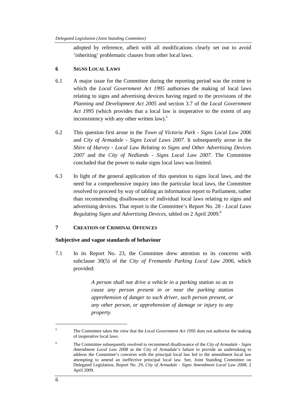adopted by reference, albeit with all modifications clearly set out to avoid 'inheriting' problematic clauses from other local laws.

#### **6 SIGNS LOCAL LAWS**

- 6.1 A major issue for the Committee during the reporting period was the extent to which the *Local Government Act 1995* authorises the making of local laws relating to signs and advertising devices having regard to the provisions of the *Planning and Development Act 2005* and section 3.7 of the *Local Government Act 1995* (which provides that a local law is inoperative to the extent of any inconsistency with any other written law).<sup>5</sup>
- 6.2 This question first arose in the *Town of Victoria Park Signs Local Law 2006*  and *City of Armadale - Signs Local Laws 2007.* It subsequently arose in the *Shire of Harvey - Local Law Relating to Signs and Other Advertising Devices 2007* and the *City of Nedlands - Signs Local Law 2007.* The Committee concluded that the power to make signs local laws was limited.
- 6.3 In light of the general application of this question to signs local laws, and the need for a comprehensive inquiry into the particular local laws, the Committee resolved to proceed by way of tabling an information report to Parliament, rather than recommending disallowance of individual local laws relating to signs and advertising devices. That report is the Committee's Report No. 28 - *Local Laws Regulating Signs and Advertising Devices,* tabled on 2 April 2009.<sup>6</sup>

#### **7 CREATION OF CRIMINAL OFFENCES**

#### **Subjective and vague standards of behaviour**

7.1 In its Report No. 23, the Committee drew attention to its concerns with subclause 30(5) of the *City of Fremantle Parking Local Law 2006*, which provided:

> *A person shall not drive a vehicle in a parking station so as to cause any person present in or near the parking station apprehension of danger to such driver, such person present, or any other person, or apprehension of damage or injury to any property*.

<sup>5</sup> The Committee takes the view that the *Local Government Act 1995* does not authorise the making of inoperative local laws.

<sup>6</sup> The Committee subsequently resolved to recommend disallowance of the *City of Armadale - Signs Amendment Local Law 2008* as the City of Armadale's failure to provide an undertaking to address the Committee's concerns with the principal local law led to the amendment local law attempting to amend an ineffective principal local law. See, Joint Standing Committee on Delegated Legislation, Report No. 29, *City of Armadale - Signs Amendment Local Law 2008,* 2 April 2009.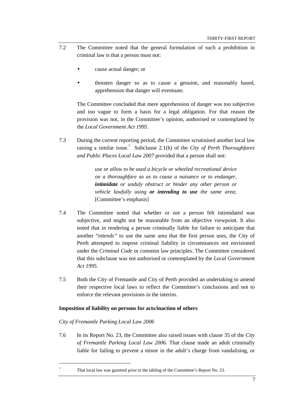- 7.2 The Committee noted that the general formulation of such a prohibition in criminal law is that a person must not:
	- cause actual danger; or
	- threaten danger so as to cause a genuine, and reasonably based, apprehension that danger will eventuate.

The Committee concluded that mere apprehension of danger was too subjective and too vague to form a basis for a legal obligation. For that reason the provision was not, in the Committee's opinion, authorised or contemplated by the *Local Government Act 1995*.

7.3 During the current reporting period, the Committee scrutinised another local law raising a similar issue.<sup>7</sup> Subclause 2.1(h) of the *City of Perth Thoroughfares and Public Places Local Law 2007* provided that a person shall not:

> *use or allow to be used a bicycle or wheeled recreational device on a thoroughfare so as to cause a nuisance or to endanger, intimidate or unduly obstruct or hinder any other person or vehicle lawfully using or intending to use the same area;*  [Committee's emphasis]

- 7.4 The Committee noted that whether or not a person felt intimidated was subjective, and might not be reasonable from an objective viewpoint. It also noted that in rendering a person criminally liable for failure to anticipate that another "*intends"* to use the same area that the first person uses, the City of Perth attempted to impose criminal liability in circumstances not envisioned under the *Criminal Code* or common law principles. The Committee considered that this subclause was not authorised or contemplated by the *Local Government Act 1995.*
- 7.5 Both the City of Fremantle and City of Perth provided an undertaking to amend their respective local laws to reflect the Committee's conclusions and not to enforce the relevant provisions in the interim.

#### **Imposition of liability on persons for acts/inaction of others**

#### *City of Fremantle Parking Local Law 2006*

 $\overline{a}$ 7

7.6 In its Report No. 23, the Committee also raised issues with clause 35 of the *City of Fremantle Parking Local Law 2006.* That clause made an adult criminally liable for failing to prevent a minor in the adult's charge from vandalising, or

That local law was gazetted prior to the tabling of the Committee's Report No. 23.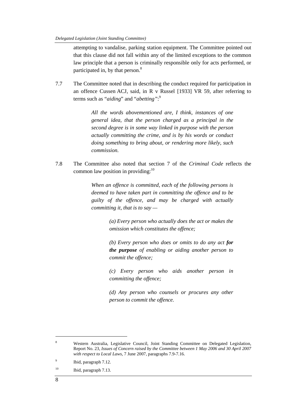attempting to vandalise, parking station equipment. The Committee pointed out that this clause did not fall within any of the limited exceptions to the common law principle that a person is criminally responsible only for acts performed, or participated in, by that person.<sup>8</sup>

7.7 The Committee noted that in describing the conduct required for participation in an offence Cussen ACJ, said, in R v Russel [1933] VR 59, after referring to terms such as "*aiding*" and "*abetting"*: 9

> *All the words abovementioned are, I think, instances of one general idea, that the person charged as a principal in the second degree is in some way linked in purpose with the person actually committing the crime, and is by his words or conduct doing something to bring about, or rendering more likely, such commission.*

7.8 The Committee also noted that section 7 of the *Criminal Code* reflects the common law position in providing: $10$ 

> *When an offence is committed, each of the following persons is deemed to have taken part in committing the offence and to be guilty of the offence, and may be charged with actually committing it, that is to say —*

> > *(a) Every person who actually does the act or makes the omission which constitutes the offence;*

> > *(b) Every person who does or omits to do any act for the purpose of enabling or aiding another person to commit the offence;*

> > *(c) Every person who aids another person in committing the offence;*

> > *(d) Any person who counsels or procures any other person to commit the offence.*

- 9 Ibid, paragraph 7.12.
- <sup>10</sup> Ibid, paragraph 7.13.

<sup>8</sup> Western Australia, Legislative Council, Joint Standing Committee on Delegated Legislation, Report No. 23, *Issues of Concern raised by the Committee between 1 May 2006 and 30 April 2007 with respect to Local Laws,* 7 June 2007, paragraphs 7.9-7.16.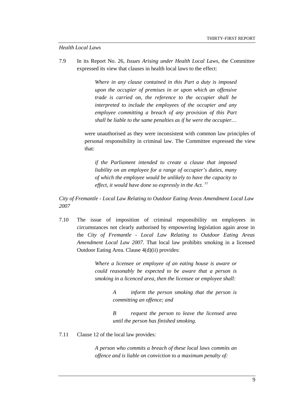#### *Health Local Laws*

7.9 In its Report No. 26, *Issues Arising under Health Local Laws*, the Committee expressed its view that clauses in health local laws to the effect:

> *Where in any clause contained in this Part a duty is imposed upon the occupier of premises in or upon which an offensive trade is carried on, the reference to the occupier shall be interpreted to include the employees of the occupier and any employee committing a breach of any provision of this Part shall be liable to the same penalties as if he were the occupier…*

were unauthorised as they were inconsistent with common law principles of personal responsibility in criminal law. The Committee expressed the view that:

*if the Parliament intended to create a clause that imposed liability on an employee for a range of occupier's duties, many of which the employee would be unlikely to have the capacity to effect, it would have done so expressly in the Act. <sup>11</sup>*

*City of Fremantle - Local Law Relating to Outdoor Eating Areas Amendment Local Law 2007* 

7.10 The issue of imposition of criminal responsibility on employees in circumstances not clearly authorised by empowering legislation again arose in the *City of Fremantle - Local Law Relating to Outdoor Eating Areas Amendment Local Law 2007.* That local law prohibits smoking in a licensed Outdoor Eating Area. Clause 4(d)(ii) provides:

> *Where a licensee or employee of an eating house is aware or could reasonably be expected to be aware that a person is smoking in a licenced area, then the licensee or employee shall:*

> > *A inform the person smoking that the person is committing an offence; and*

> > *B request the person to leave the licensed area until the person has finished smoking.*

7.11 Clause 12 of the local law provides:

*A person who commits a breach of these local laws commits an offence and is liable on conviction to a maximum penalty of:*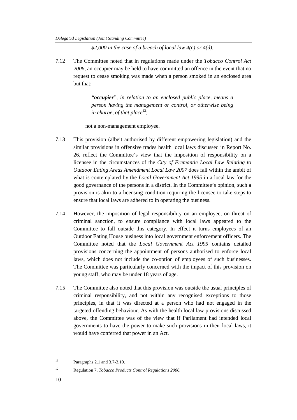*\$2,000 in the case of a breach of local law 4(c) or 4(d).* 

7.12 The Committee noted that in regulations made under the *Tobacco Control Act 2006*, an occupier may be held to have committed an offence in the event that no request to cease smoking was made when a person smoked in an enclosed area but that:

> *"occupier", in relation to an enclosed public place, means a person having the management or control, or otherwise being in charge, of that place*<sup>12</sup>;

not a non-management employee.

- 7.13 This provision (albeit authorised by different empowering legislation) and the similar provisions in offensive trades health local laws discussed in Report No. 26, reflect the Committee's view that the imposition of responsibility on a licensee in the circumstances of the *City of Fremantle Local Law Relating to Outdoor Eating Areas Amendment Local Law 2007* does fall within the ambit of what is contemplated by the *Local Government Act 1995* in a local law for the good governance of the persons in a district. In the Committee's opinion, such a provision is akin to a licensing condition requiring the licensee to take steps to ensure that local laws are adhered to in operating the business.
- 7.14 However, the imposition of legal responsibility on an employee, on threat of criminal sanction, to ensure compliance with local laws appeared to the Committee to fall outside this category. In effect it turns employees of an Outdoor Eating House business into local government enforcement officers. The Committee noted that the *Local Government Act 1995* contains detailed provisions concerning the appointment of persons authorised to enforce local laws, which does not include the co-option of employees of such businesses. The Committee was particularly concerned with the impact of this provision on young staff, who may be under 18 years of age.
- 7.15 The Committee also noted that this provision was outside the usual principles of criminal responsibility, and not within any recognised exceptions to those principles, in that it was directed at a person who had not engaged in the targeted offending behaviour. As with the health local law provisions discussed above, the Committee was of the view that if Parliament had intended local governments to have the power to make such provisions in their local laws, it would have conferred that power in an Act.

<sup>11</sup> Paragraphs 2.1 and 3.7-3.10.

<sup>12</sup> Regulation 7, *Tobacco Products Control Regulations 2006.*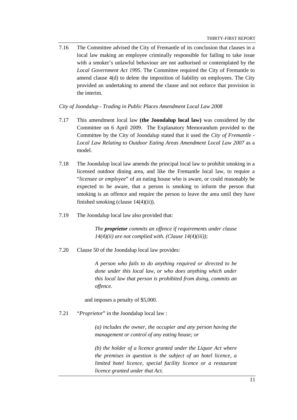7.16 The Committee advised the City of Fremantle of its conclusion that clauses in a local law making an employee criminally responsible for failing to take issue with a smoker's unlawful behaviour are not authorised or contemplated by the *Local Government Act 1995*. The Committee required the City of Fremantle to amend clause 4(d) to delete the imposition of liability on employees. The City provided an undertaking to amend the clause and not enforce that provision in the interim.

*City of Joondalup - Trading in Public Places Amendment Local Law 2008* 

- 7.17 This amendment local law **(the Joondalup local law)** was considered by the Committee on 6 April 2009. The Explanatory Memorandum provided to the Committee by the City of Joondalup stated that it used the *City of Fremantle - Local Law Relating to Outdoor Eating Areas Amendment Local Law 2007* as a model.
- 7.18 The Joondalup local law amends the principal local law to prohibit smoking in a licensed outdoor dining area, and like the Fremantle local law, to require a "*licensee or employee*" of an eating house who is aware, or could reasonably be expected to be aware, that a person is smoking to inform the person that smoking is an offence and require the person to leave the area until they have finished smoking (clause 14(4)(ii)).
- 7.19 The Joondalup local law also provided that:

*The proprietor commits an offence if requirements under clause 14(4)(ii) are not complied with. (Clause 14(4)(iii));* 

7.20 Clause 50 of the Joondalup local law provides:

*A person who fails to do anything required or directed to be done under this local law, or who does anything which under this local law that person is prohibited from doing, commits an offence.* 

and imposes a penalty of \$5,000.

7.21 "*Proprietor*" in the Joondalup local law :

*(a) includes the owner, the occupier and any person having the management or control of any eating house; or* 

*(b) the holder of a licence granted under the Liquor Act where the premises in question is the subject of an hotel licence, a limited hotel licence, special facility licence or a restaurant licence granted under that Act.*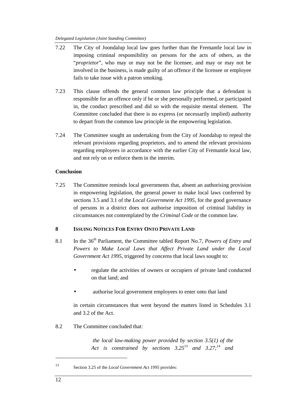#### *Delegated Legislation (Joint Standing Committee)*

- 7.22 The City of Joondalup local law goes further than the Fremantle local law in imposing criminal responsibility on persons for the acts of others, as the "*proprietor*", who may or may not be the licensee, and may or may not be involved in the business, is made guilty of an offence if the licensee or employee fails to take issue with a patron smoking.
- 7.23 This clause offends the general common law principle that a defendant is responsible for an offence only if he or she personally performed, or participated in, the conduct prescribed and did so with the requisite mental element. The Committee concluded that there is no express (or necessarily implied) authority to depart from the common law principle in the empowering legislation.
- 7.24 The Committee sought an undertaking from the City of Joondalup to repeal the relevant provisions regarding proprietors, and to amend the relevant provisions regarding employees in accordance with the earlier City of Fremantle local law, and not rely on or enforce them in the interim.

#### **Conclusion**

7.25 The Committee reminds local governments that, absent an authorising provision in empowering legislation, the general power to make local laws conferred by sections 3.5 and 3.1 of the *Local Government Act 1995,* for the good governance of persons in a district does not authorise imposition of criminal liability in circumstances not contemplated by the *Criminal Code* or the common law.

#### **8 ISSUING NOTICES FOR ENTRY ONTO PRIVATE LAND**

- 8.1 In the 36th Parliament, the Committee tabled Report No.7, *Powers of Entry and Powers to Make Local Laws that Affect Private Land under the Local Government Act 1995*, triggered by concerns that local laws sought to:
	- regulate the activities of owners or occupiers of private land conducted on that land; and
	- authorise local government employees to enter onto that land

in certain circumstances that went beyond the matters listed in Schedules 3.1 and 3.2 of the Act.

8.2 The Committee concluded that:

*the local law-making power provided by section 3.5(1) of the Act is constrained by sections 3.25*<sup>13</sup> *and 3.27;*<sup>14</sup> *and* 

Section 3.25 of the *Local Government Act 1995* provides: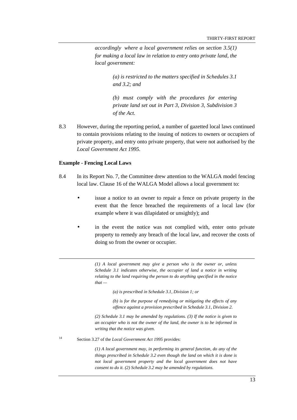*accordingly where a local government relies on section 3.5(1) for making a local law in relation to entry onto private land, the local government:* 

> *(a) is restricted to the matters specified in Schedules 3.1 and 3.2; and*

> *(b) must comply with the procedures for entering private land set out in Part 3, Division 3, Subdivision 3 of the Act.*

8.3 However, during the reporting period, a number of gazetted local laws continued to contain provisions relating to the issuing of notices to owners or occupiers of private property, and entry onto private property, that were not authorised by the *Local Government Act 1995*.

#### **Example - Fencing Local Laws**

 $\overline{a}$ 

- 8.4 In its Report No. 7, the Committee drew attention to the WALGA model fencing local law. Clause 16 of the WALGA Model allows a local government to:
	- issue a notice to an owner to repair a fence on private property in the event that the fence breached the requirements of a local law (for example where it was dilapidated or unsightly); and
	- in the event the notice was not complied with, enter onto private property to remedy any breach of the local law, and recover the costs of doing so from the owner or occupier.

*(1) A local government may give a person who is the owner or, unless Schedule 3.1 indicates otherwise, the occupier of land a notice in writing relating to the land requiring the person to do anything specified in the notice*   $that -$ 

*(a) is prescribed in Schedule 3.1, Division 1; or* 

*(b) is for the purpose of remedying or mitigating the effects of any offence against a provision prescribed in Schedule 3.1, Division 2.* 

*(2) Schedule 3.1 may be amended by regulations. (3) If the notice is given to an occupier who is not the owner of the land, the owner is to be informed in writing that the notice was given.* 

<sup>14</sup> Section 3.27 of the *Local Government Act 1995* provides:

*(1) A local government may, in performing its general function, do any of the things prescribed in Schedule 3.2 even though the land on which it is done is not local government property and the local government does not have consent to do it. (2) Schedule 3.2 may be amended by regulations.*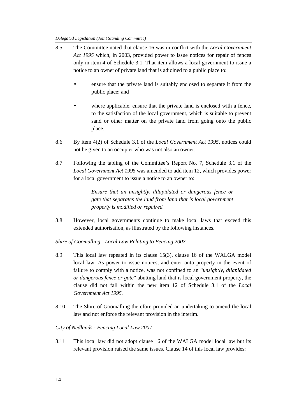- 8.5 The Committee noted that clause 16 was in conflict with the *Local Government Act 1995* which, in 2003, provided power to issue notices for repair of fences only in item 4 of Schedule 3.1. That item allows a local government to issue a notice to an owner of private land that is adjoined to a public place to:
	- ensure that the private land is suitably enclosed to separate it from the public place; and
	- where applicable, ensure that the private land is enclosed with a fence, to the satisfaction of the local government, which is suitable to prevent sand or other matter on the private land from going onto the public place.
- 8.6 By item 4(2) of Schedule 3.1 of the *Local Government Act 1995*, notices could not be given to an occupier who was not also an owner.
- 8.7 Following the tabling of the Committee's Report No. 7, Schedule 3.1 of the *Local Government Act 1995* was amended to add item 12, which provides power for a local government to issue a notice to an owner to:

*Ensure that an unsightly, dilapidated or dangerous fence or gate that separates the land from land that is local government property is modified or repaired.* 

8.8 However, local governments continue to make local laws that exceed this extended authorisation, as illustrated by the following instances.

*Shire of Goomalling - Local Law Relating to Fencing 2007* 

- 8.9 This local law repeated in its clause 15(3), clause 16 of the WALGA model local law. As power to issue notices, and enter onto property in the event of failure to comply with a notice, was not confined to an "*unsightly, dilapidated or dangerous fence or gate*" abutting land that is local government property, the clause did not fall within the new item 12 of Schedule 3.1 of the *Local Government Act 1995.*
- 8.10 The Shire of Goomalling therefore provided an undertaking to amend the local law and not enforce the relevant provision in the interim.

*City of Nedlands - Fencing Local Law 2007* 

8.11 This local law did not adopt clause 16 of the WALGA model local law but its relevant provision raised the same issues. Clause 14 of this local law provides: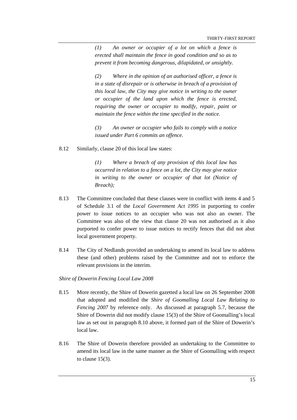*(1) An owner or occupier of a lot on which a fence is erected shall maintain the fence in good condition and so as to prevent it from becoming dangerous, dilapidated, or unsightly.* 

*(2) Where in the opinion of an authorised officer, a fence is in a state of disrepair or is otherwise in breach of a provision of this local law, the City may give notice in writing to the owner or occupier of the land upon which the fence is erected, requiring the owner or occupier to modify, repair, paint or maintain the fence within the time specified in the notice.* 

*(3) An owner or occupier who fails to comply with a notice issued under Part 6 commits an offence.* 

8.12 Similarly, clause 20 of this local law states:

*(1) Where a breach of any provision of this local law has occurred in relation to a fence on a lot, the City may give notice in writing to the owner or occupier of that lot (Notice of Breach);* 

- 8.13 The Committee concluded that these clauses were in conflict with items 4 and 5 of Schedule 3.1 of the *Local Government Act 1995* in purporting to confer power to issue notices to an occupier who was not also an owner. The Committee was also of the view that clause 20 was not authorised as it also purported to confer power to issue notices to rectify fences that did not abut local government property.
- 8.14 The City of Nedlands provided an undertaking to amend its local law to address these (and other) problems raised by the Committee and not to enforce the relevant provisions in the interim.

#### *Shire of Dowerin Fencing Local Law 2008*

- 8.15 More recently, the Shire of Dowerin gazetted a local law on 26 September 2008 that adopted and modified the *Shire of Goomalling Local Law Relating to Fencing 2007* by reference only. As discussed at paragraph 5.7, because the Shire of Dowerin did not modify clause 15(3) of the Shire of Goomalling's local law as set out in paragraph 8.10 above, it formed part of the Shire of Dowerin's local law.
- 8.16 The Shire of Dowerin therefore provided an undertaking to the Committee to amend its local law in the same manner as the Shire of Goomalling with respect to clause 15(3).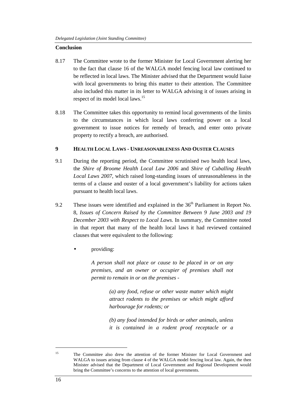#### **Conclusion**

- 8.17 The Committee wrote to the former Minister for Local Government alerting her to the fact that clause 16 of the WALGA model fencing local law continued to be reflected in local laws. The Minister advised that the Department would liaise with local governments to bring this matter to their attention. The Committee also included this matter in its letter to WALGA advising it of issues arising in respect of its model local laws.<sup>15</sup>
- 8.18 The Committee takes this opportunity to remind local governments of the limits to the circumstances in which local laws conferring power on a local government to issue notices for remedy of breach, and enter onto private property to rectify a breach, are authorised.

#### **9 HEALTH LOCAL LAWS - UNREASONABLENESS AND OUSTER CLAUSES**

- 9.1 During the reporting period, the Committee scrutinised two health local laws, the *Shire of Broome Health Local Law 2006* and *Shire of Cuballing Health Local Laws 2007*, which raised long-standing issues of unreasonableness in the terms of a clause and ouster of a local government's liability for actions taken pursuant to health local laws.
- 9.2 These issues were identified and explained in the  $36<sup>th</sup>$  Parliament in Report No. 8, *Issues of Concern Raised by the Committee Between 9 June 2003 and 19 December 2003 with Respect to Local Laws.* In summary, the Committee noted in that report that many of the health local laws it had reviewed contained clauses that were equivalent to the following:
	- providing:

*A person shall not place or cause to be placed in or on any premises, and an owner or occupier of premises shall not permit to remain in or on the premises -* 

> *(a) any food, refuse or other waste matter which might attract rodents to the premises or which might afford harbourage for rodents; or*

> *(b) any food intended for birds or other animals, unless it is contained in a rodent proof receptacle or a*

<sup>&</sup>lt;sup>15</sup> The Committee also drew the attention of the former Minister for Local Government and WALGA to issues arising from clause 4 of the WALGA model fencing local law. Again, the then Minister advised that the Department of Local Government and Regional Development would bring the Committee's concerns to the attention of local governments.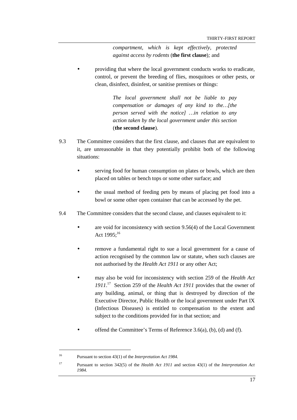*compartment, which is kept effectively, protected against access by rodents* (**the first clause**)*;* and

• providing that where the local government conducts works to eradicate, control, or prevent the breeding of flies, mosquitoes or other pests, or clean, disinfect, disinfest, or sanitise premises or things:

> *The local government shall not be liable to pay compensation or damages of any kind to the…[the person served with the notice] …in relation to any action taken by the local government under this section*  (**the second clause**).

- 9.3 The Committee considers that the first clause, and clauses that are equivalent to it, are unreasonable in that they potentially prohibit both of the following situations:
	- serving food for human consumption on plates or bowls, which are then placed on tables or bench tops or some other surface; and
	- the usual method of feeding pets by means of placing pet food into a bowl or some other open container that can be accessed by the pet.
- 9.4 The Committee considers that the second clause, and clauses equivalent to it:
	- are void for inconsistency with section 9.56(4) of the Local Government Act  $1995$ ;<sup>16</sup>
	- remove a fundamental right to sue a local government for a cause of action recognised by the common law or statute, when such clauses are not authorised by the *Health Act 1911* or any other Act;
	- may also be void for inconsistency with section 259 of the *Health Act 1911*. <sup>17</sup> Section 259 of the *Health Act 1911* provides that the owner of any building, animal, or thing that is destroyed by direction of the Executive Director, Public Health or the local government under Part IX (Infectious Diseases) is entitled to compensation to the extent and subject to the conditions provided for in that section; and
	- offend the Committee's Terms of Reference 3.6(a), (b), (d) and (f).

 $\overline{a}$ 

<sup>17</sup> Pursuant to section 342(5) of the *Health Act 1911* and section 43(1) of the *Interpretation Act 1984.*

<sup>16</sup> Pursuant to section 43(1) of the *Interpretation Act 1984.*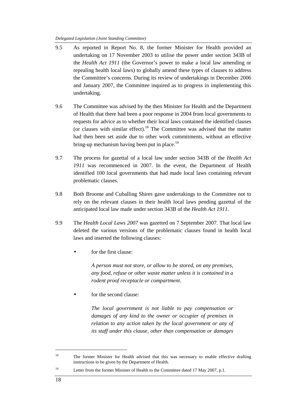*Delegated Legislation (Joint Standing Committee)* 

- 9.5 As reported in Report No. 8, the former Minister for Health provided an undertaking on 17 November 2003 to utilise the power under section 343B of the *Health Act 1911* (the Governor's power to make a local law amending or repealing health local laws) to globally amend these types of clauses to address the Committee's concerns. During its review of undertakings in December 2006 and January 2007, the Committee inquired as to progress in implementing this undertaking.
- 9.6 The Committee was advised by the then Minister for Health and the Department of Health that there had been a poor response in 2004 from local governments to requests for advice as to whether their local laws contained the identified clauses (or clauses with similar effect).<sup>18</sup> The Committee was advised that the matter had then been set aside due to other work commitments, without an effective bring-up mechanism having been put in place.<sup>19</sup>
- 9.7 The process for gazettal of a local law under section 343B of the *Health Act 1911* was recommenced in 2007. In the event, the Department of Health identified 100 local governments that had made local laws containing relevant problematic clauses.
- 9.8 Both Broome and Cuballing Shires gave undertakings to the Committee not to rely on the relevant clauses in their health local laws pending gazettal of the anticipated local law made under section 343B of the *Health Act 1911.*
- 9.9 The *Health Local Laws 2007* was gazetted on 7 September 2007. That local law deleted the various versions of the problematic clauses found in health local laws and inserted the following clauses:
	- for the first clause:

*A person must not store, or allow to be stored, on any premises, any food, refuse or other waste matter unless it is contained in a rodent proof receptacle or compartment.* 

• for the second clause:

*The local government is not liable to pay compensation or damages of any kind to the owner or occupier of premises in relation to any action taken by the local government or any of its staff under this clause, other than compensation or damages* 

<sup>&</sup>lt;sup>18</sup> The former Minister for Health advised that this was necessary to enable effective drafting instructions to be given by the Department of Health.

<sup>&</sup>lt;sup>19</sup> Letter from the former Minister of Health to the Committee dated 17 May 2007, p.1.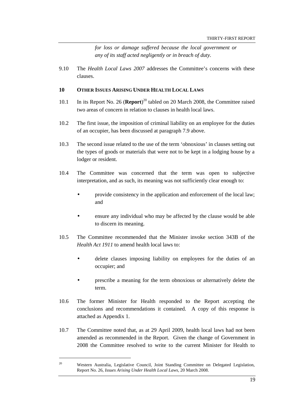*for loss or damage suffered because the local government or any of its staff acted negligently or in breach of duty.* 

9.10 The *Health Local Laws 2007* addresses the Committee's concerns with these clauses.

#### **10 OTHER ISSUES ARISING UNDER HEALTH LOCAL LAWS**

- 10.1 In its Report No. 26 (Report)<sup>20</sup> tabled on 20 March 2008, the Committee raised two areas of concern in relation to clauses in health local laws.
- 10.2 The first issue, the imposition of criminal liability on an employee for the duties of an occupier, has been discussed at paragraph 7.9 above.
- 10.3 The second issue related to the use of the term 'obnoxious' in clauses setting out the types of goods or materials that were not to be kept in a lodging house by a lodger or resident.
- 10.4 The Committee was concerned that the term was open to subjective interpretation, and as such, its meaning was not sufficiently clear enough to:
	- provide consistency in the application and enforcement of the local law; and
	- ensure any individual who may be affected by the clause would be able to discern its meaning.
- 10.5 The Committee recommended that the Minister invoke section 343B of the *Health Act 1911* to amend health local laws to:
	- delete clauses imposing liability on employees for the duties of an occupier; and
	- prescribe a meaning for the term obnoxious or alternatively delete the term.
- 10.6 The former Minister for Health responded to the Report accepting the conclusions and recommendations it contained. A copy of this response is attached as Appendix 1.
- 10.7 The Committee noted that, as at 29 April 2009, health local laws had not been amended as recommended in the Report. Given the change of Government in 2008 the Committee resolved to write to the current Minister for Health to

<sup>&</sup>lt;sup>20</sup> Western Australia, Legislative Council, Joint Standing Committee on Delegated Legislation, Report No. 26, *Issues Arising Under Health Local Laws,* 20 March 2008.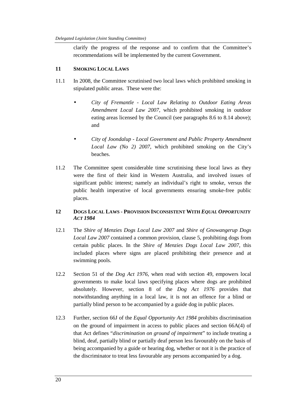clarify the progress of the response and to confirm that the Committee's recommendations will be implemented by the current Government.

#### **11 SMOKING LOCAL LAWS**

- 11.1 In 2008, the Committee scrutinised two local laws which prohibited smoking in stipulated public areas. These were the:
	- *City of Fremantle Local Law Relating to Outdoor Eating Areas Amendment Local Law 2007*, which prohibited smoking in outdoor eating areas licensed by the Council (see paragraphs 8.6 to 8.14 above); and
	- *City of Joondalup Local Government and Public Property Amendment Local Law (No 2) 2007*, which prohibited smoking on the City's beaches.
- 11.2 The Committee spent considerable time scrutinising these local laws as they were the first of their kind in Western Australia, and involved issues of significant public interest; namely an individual's right to smoke, versus the public health imperative of local governments ensuring smoke-free public places.

#### **12 DOGS LOCAL LAWS - PROVISION INCONSISTENT WITH** *EQUAL OPPORTUNITY ACT 1984*

- 12.1 The *Shire of Menzies Dogs Local Law 2007* and *Shire of Gnowangerup Dogs Local Law 2007* contained a common provision, clause 5, prohibiting dogs from certain public places. In the *Shire of Menzies Dogs Local Law 2007,* this included places where signs are placed prohibiting their presence and at swimming pools.
- 12.2 Section 51 of the *Dog Act 1976*, when read with section 49, empowers local governments to make local laws specifying places where dogs are prohibited absolutely. However, section 8 of the *Dog Act 1976* provides that notwithstanding anything in a local law, it is not an offence for a blind or partially blind person to be accompanied by a guide dog in public places.
- 12.3 Further, section 66J of the *Equal Opportunity Act 1984* prohibits discrimination on the ground of impairment in access to public places and section 66A(4) of that Act defines "*discrimination on ground of impairment*" to include treating a blind, deaf, partially blind or partially deaf person less favourably on the basis of being accompanied by a guide or hearing dog, whether or not it is the practice of the discriminator to treat less favourable any persons accompanied by a dog.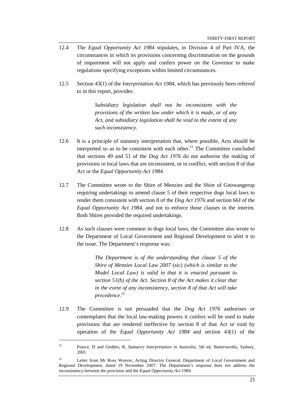- 12.4 The *Equal Opportunity Act 1984* stipulates, in Division 4 of Part IVA, the circumstances in which its provisions concerning discrimination on the grounds of impairment will not apply and confers power on the Governor to make regulations specifying exceptions within limited circumstances.
- 12.5 Section 43(1) of the *Interpretation Act 1984*, which has previously been referred to in this report, provides:

*Subsidiary legislation shall not be inconsistent with the provisions of the written law under which it is made, or of any Act, and subsidiary legislation shall be void to the extent of any such inconsistency.* 

- 12.6 It is a principle of statutory interpretation that, where possible, Acts should be interpreted so as to be consistent with each other. $^{21}$  The Committee concluded that sections 49 and 51 of the *Dog Act 1976* do not authorise the making of provisions in local laws that are inconsistent, or in conflict, with section 8 of that Act or the *Equal Opportunity Act 1984.*
- 12.7 The Committee wrote to the Shire of Menzies and the Shire of Gnowangerup requiring undertakings to amend clause 5 of their respective dogs local laws to render them consistent with section 8 of the *Dog Act 1976* and section 66J of the *Equal Opportunity Act 1984,* and not to enforce those clauses in the interim. Both Shires provided the required undertakings.
- 12.8 As such clauses were common in dogs local laws, the Committee also wrote to the Department of Local Government and Regional Development to alert it to the issue. The Department's response was:

*The Department is of the understanding that clause 5 of the Shire of Menzies Local Law 2007* (sic) *(which is similar to the Model Local Law) is valid in that it is enacted pursuant to section 51(b) of the Act. Section 8 of the Act makes it clear that in the event of any inconsistency, section 8 of that Act will take precedence.*<sup>22</sup>

12.9 The Committee is not persuaded that the *Dog Act 1976* authorises or contemplates that the local law-making powers it confers will be used to make provisions that are rendered ineffective by section 8 of that Act or void by operation of the *Equal Opportunity Act 1984* and section 43(1) of the

<sup>&</sup>lt;sup>21</sup> Pearce, D and Geddes, R, *Statutory Interpretation in Australia*, 5th ed, Butterworths, Sydney, 2001.

<sup>&</sup>lt;sup>22</sup> Letter from Mr Ross Weaver, Acting Director General, Department of Local Government and Regional Development, dated 19 November 2007. The Department's response does not address the inconsistency between the provision and the *Equal Opportunity Act 1984.*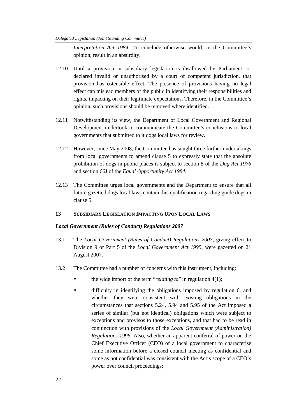*Interpretation Act 1984*. To conclude otherwise would, in the Committee's opinion, result in an absurdity.

- 12.10 Until a provision in subsidiary legislation is disallowed by Parliament, or declared invalid or unauthorised by a court of competent jurisdiction, that provision has ostensible effect. The presence of provisions having no legal effect can mislead members of the public in identifying their responsibilities and rights, impacting on their legitimate expectations. Therefore, in the Committee's opinion, such provisions should be removed where identified.
- 12.11 Notwithstanding its view, the Department of Local Government and Regional Development undertook to communicate the Committee's conclusions to local governments that submitted to it dogs local laws for review.
- 12.12 However, since May 2008, the Committee has sought three further undertakings from local governments to amend clause 5 to expressly state that the absolute prohibition of dogs in public places is subject to section 8 of the *Dog Act 1976*  and section 66J of the *Equal Opportunity Act 1984.*
- 12.13 The Committee urges local governments and the Department to ensure that all future gazetted dogs local laws contain this qualification regarding guide dogs in clause 5.

#### **13 SUBSIDIARY LEGISLATION IMPACTING UPON LOCAL LAWS**

#### *Local Government (Rules of Conduct) Regulations 2007*

- 13.1 The *Local Government (Rules of Conduct) Regulations 2007*, giving effect to Division 9 of Part 5 of the *Local Government Act 1995*, were gazetted on 21 August 2007.
- 13.2 The Committee had a number of concerns with this instrument, including:
	- the wide import of the term "*relating to*" in regulation 4(1);
	- difficulty in identifying the obligations imposed by regulation 6, and whether they were consistent with existing obligations in the circumstances that sections 5.24, 5.94 and 5.95 of the Act imposed a series of similar (but not identical) obligations which were subject to exceptions and provisos to those exceptions, and that had to be read in conjunction with provisions of the *Local Government (Administration) Regulations 1996*. Also, whether an apparent conferral of power on the Chief Executive Officer (CEO) of a local government to characterise some information before a closed council meeting as confidential and some as not confidential was consistent with the Act's scope of a CEO's power over council proceedings;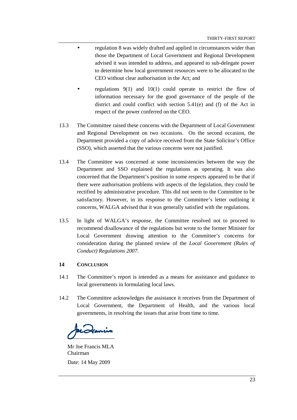- regulation 8 was widely drafted and applied in circumstances wider than those the Department of Local Government and Regional Development advised it was intended to address, and appeared to sub-delegate power to determine how local government resources were to be allocated to the CEO without clear authorisation in the Act; and
- regulations 9(1) and 10(1) could operate to restrict the flow of information necessary for the good governance of the people of the district and could conflict with section 5.41(e) and (f) of the Act in respect of the power conferred on the CEO.
- 13.3 The Committee raised these concerns with the Department of Local Government and Regional Development on two occasions. On the second occasion, the Department provided a copy of advice received from the State Solicitor's Office (SSO), which asserted that the various concerns were not justified.
- 13.4 The Committee was concerned at some inconsistencies between the way the Department and SSO explained the regulations as operating. It was also concerned that the Department's position in some respects appeared to be that if there were authorisation problems with aspects of the legislation, they could be rectified by administrative procedure. This did not seem to the Committee to be satisfactory. However, in its response to the Committee's letter outlining it concerns, WALGA advised that it was generally satisfied with the regulations.
- 13.5 In light of WALGA's response, the Committee resolved not to proceed to recommend disallowance of the regulations but wrote to the former Minister for Local Government drawing attention to the Committee's concerns for consideration during the planned review of the *Local Government (Rules of Conduct) Regulations 2007*.

#### **14 CONCLUSION**

- 14.1 The Committee's report is intended as a means for assistance and guidance to local governments in formulating local laws.
- 14.2 The Committee acknowledges the assistance it receives from the Department of Local Government, the Department of Health, and the various local governments, in resolving the issues that arise from time to time.

Icanis

Mr Joe Francis MLA Chairman Date: 14 May 2009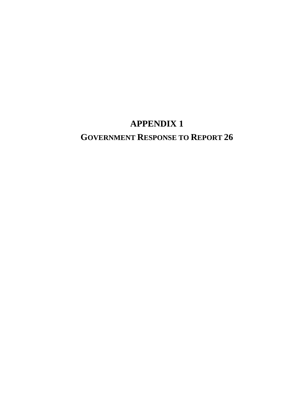# **APPENDIX 1**

# **GOVERNMENT RESPONSE TO REPORT 26**